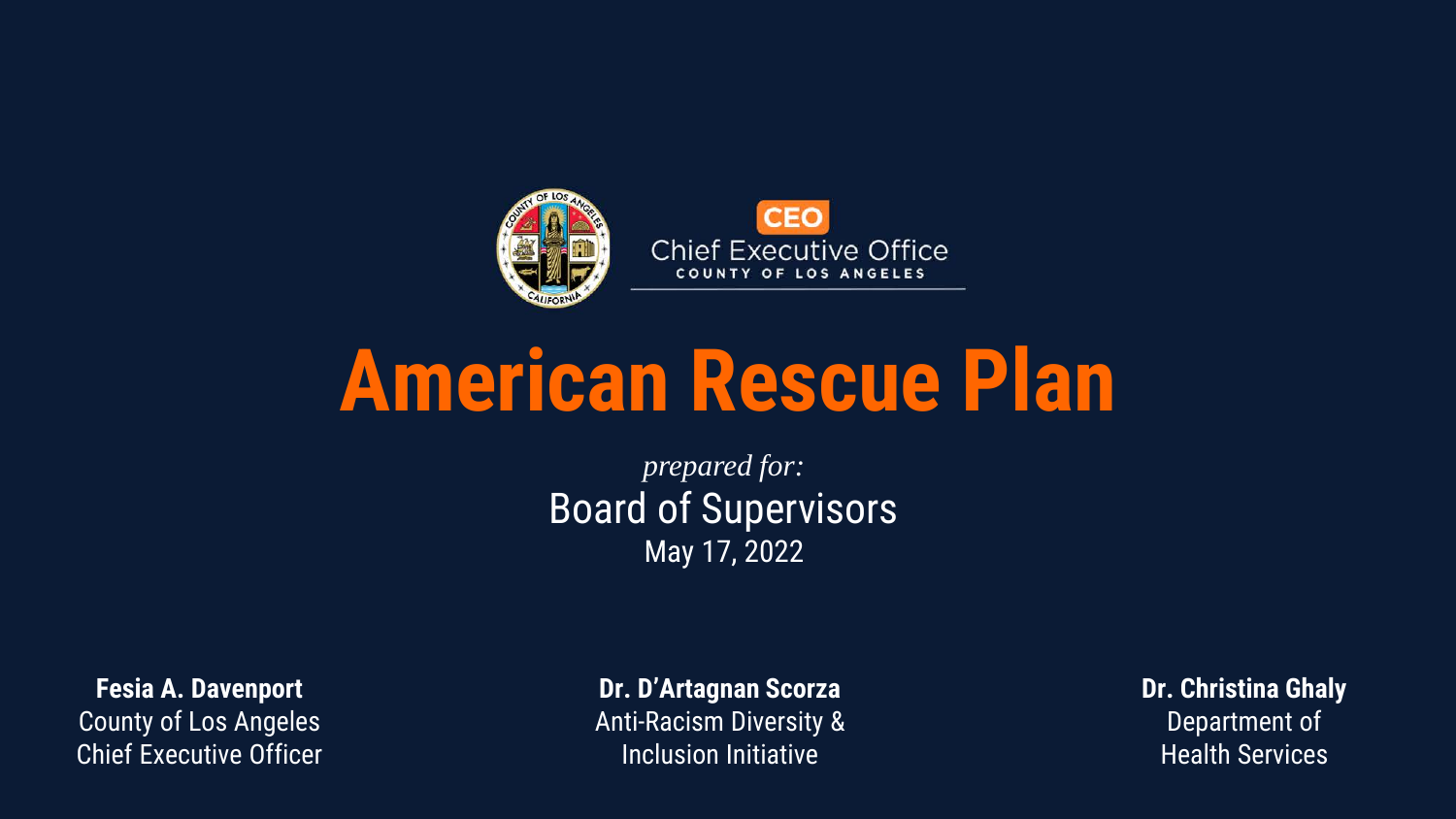

# **American Rescue Plan**

*prepared for:* Board of Supervisors May 17, 2022

**Fesia A. Davenport** County of Los Angeles Chief Executive Officer

**Dr. D'Artagnan Scorza** Anti-Racism Diversity & Inclusion Initiative

**Dr. Christina Ghaly** Department of Health Services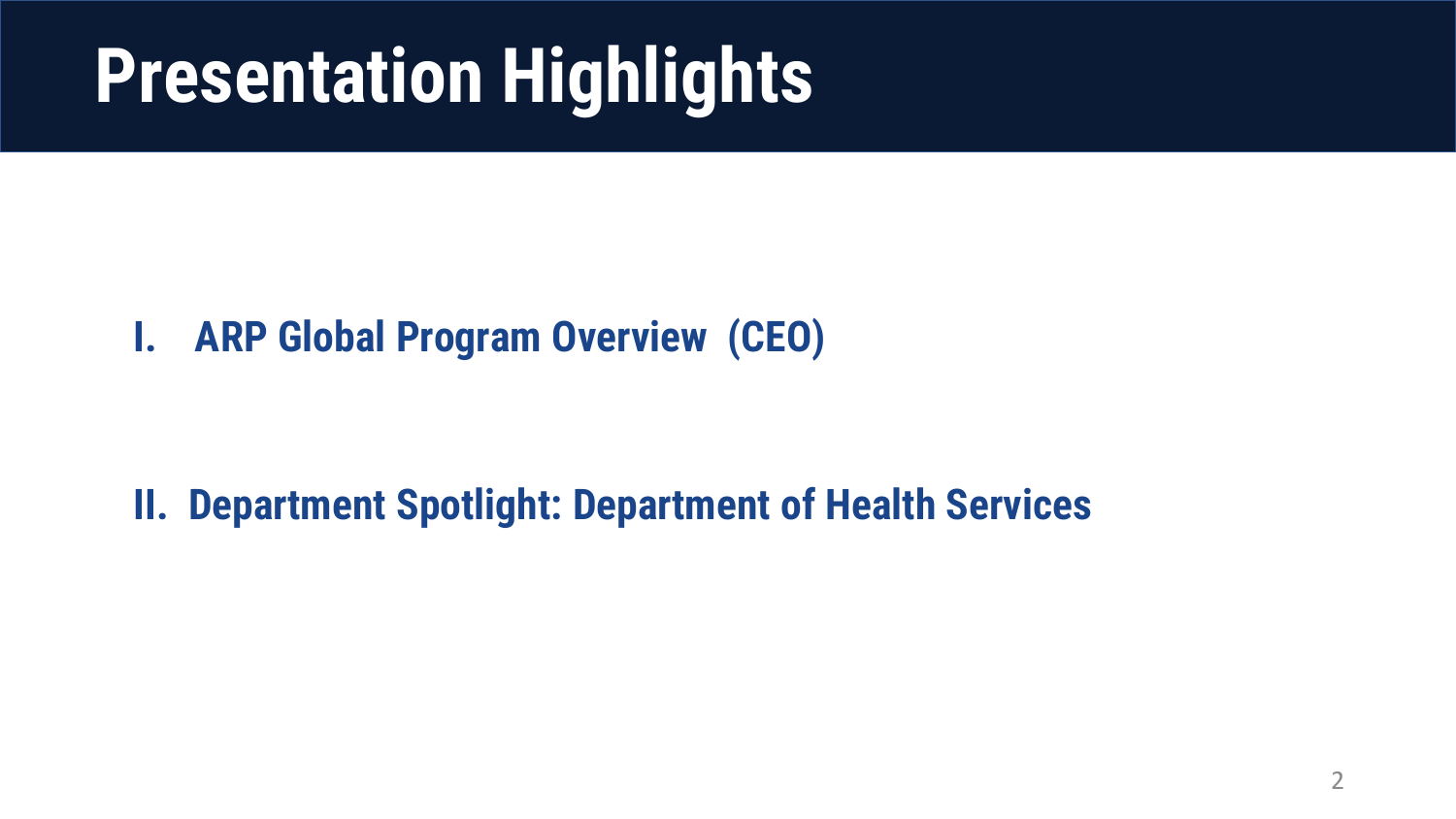# **Presentation Highlights**

#### **I. ARP Global Program Overview (CEO)**

#### **II. Department Spotlight: Department of Health Services**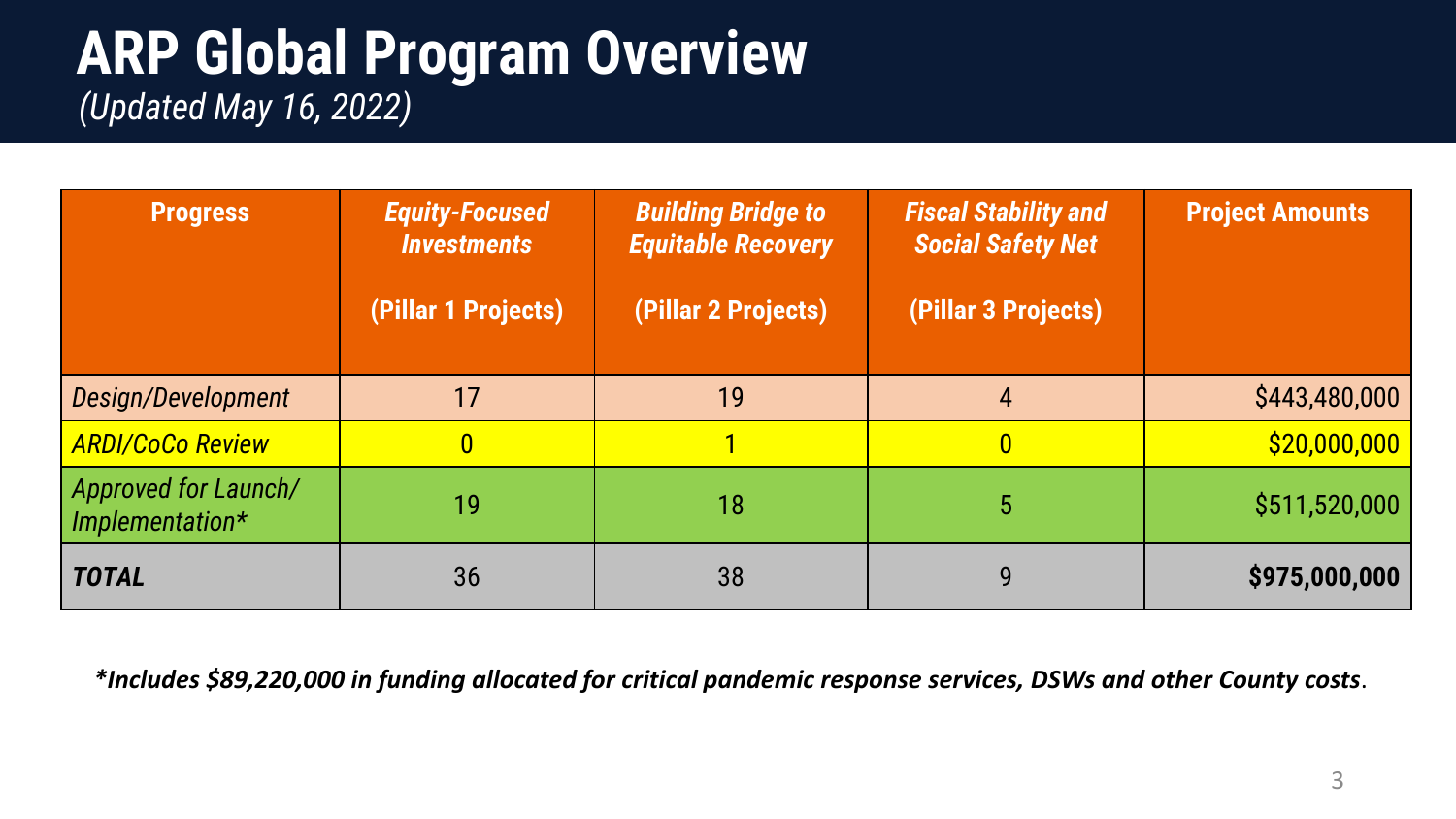#### **ARP Global Program Overview**  *(Updated May 16, 2022)*

| <b>Progress</b>                         | <b>Equity-Focused</b><br><b>Investments</b> | <b>Building Bridge to</b><br><b>Equitable Recovery</b> | <b>Fiscal Stability and</b><br><b>Social Safety Net</b> | <b>Project Amounts</b> |
|-----------------------------------------|---------------------------------------------|--------------------------------------------------------|---------------------------------------------------------|------------------------|
|                                         | (Pillar 1 Projects)                         | (Pillar 2 Projects)                                    | (Pillar 3 Projects)                                     |                        |
| Design/Development                      | 17                                          | 19                                                     | $\overline{4}$                                          | \$443,480,000          |
| <b>ARDI/CoCo Review</b>                 | $\boldsymbol{0}$                            |                                                        | $\boldsymbol{0}$                                        | \$20,000,000           |
| Approved for Launch/<br>Implementation* | 19                                          | 18                                                     | 5                                                       | \$511,520,000          |
| <b>TOTAL</b>                            | 36                                          | 38                                                     | 9                                                       | \$975,000,000          |

*\*Includes \$89,220,000 in funding allocated for critical pandemic response services, DSWs and other County costs*.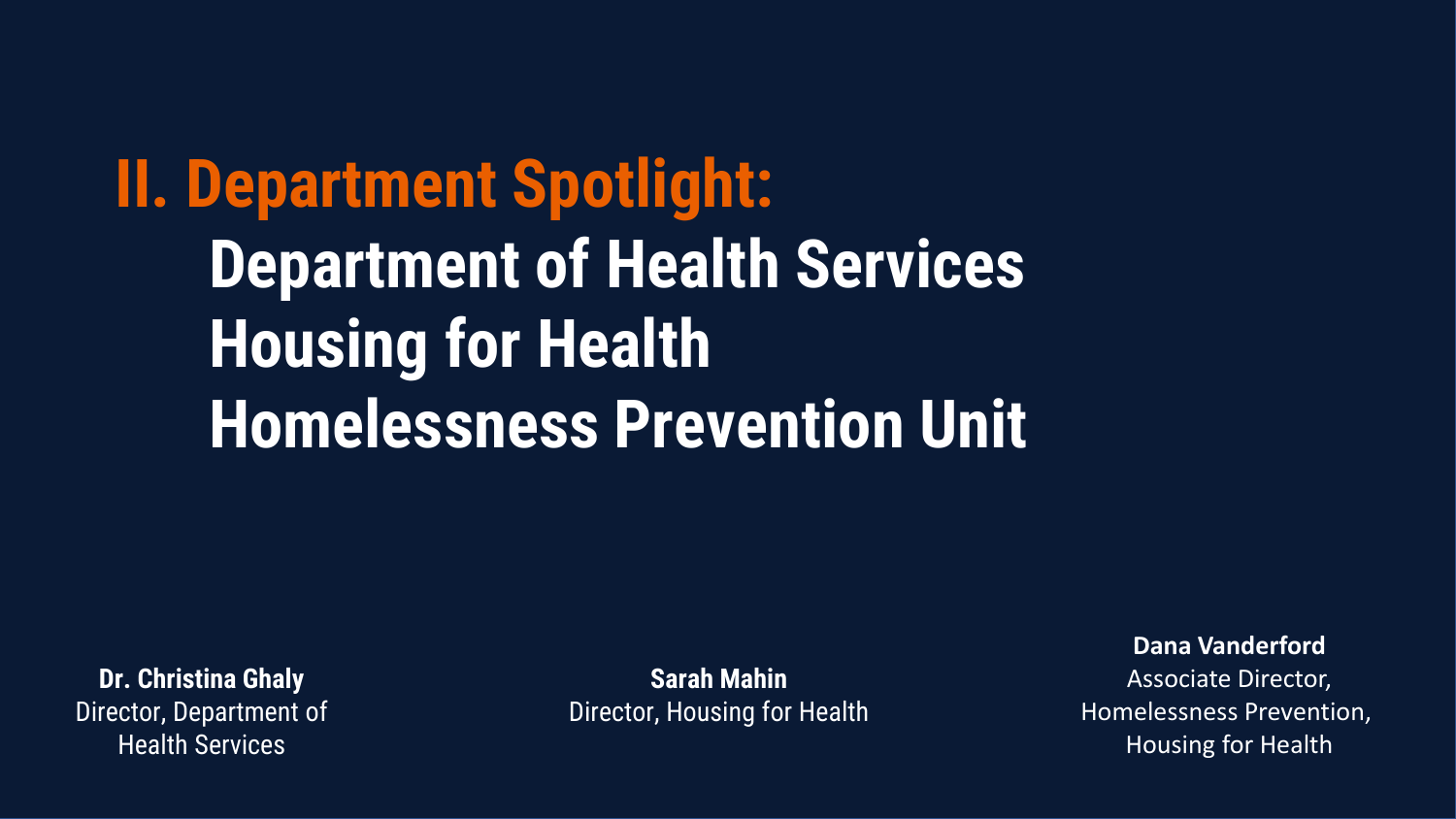**II. Department Spotlight: Department of Health Services Housing for Health Homelessness Prevention Unit**

**Dr. Christina Ghaly** Director, Department of Health Services

**Sarah Mahin** Director, Housing for Health

**Dana Vanderford**  Associate Director, Homelessness Prevention, Housing for Health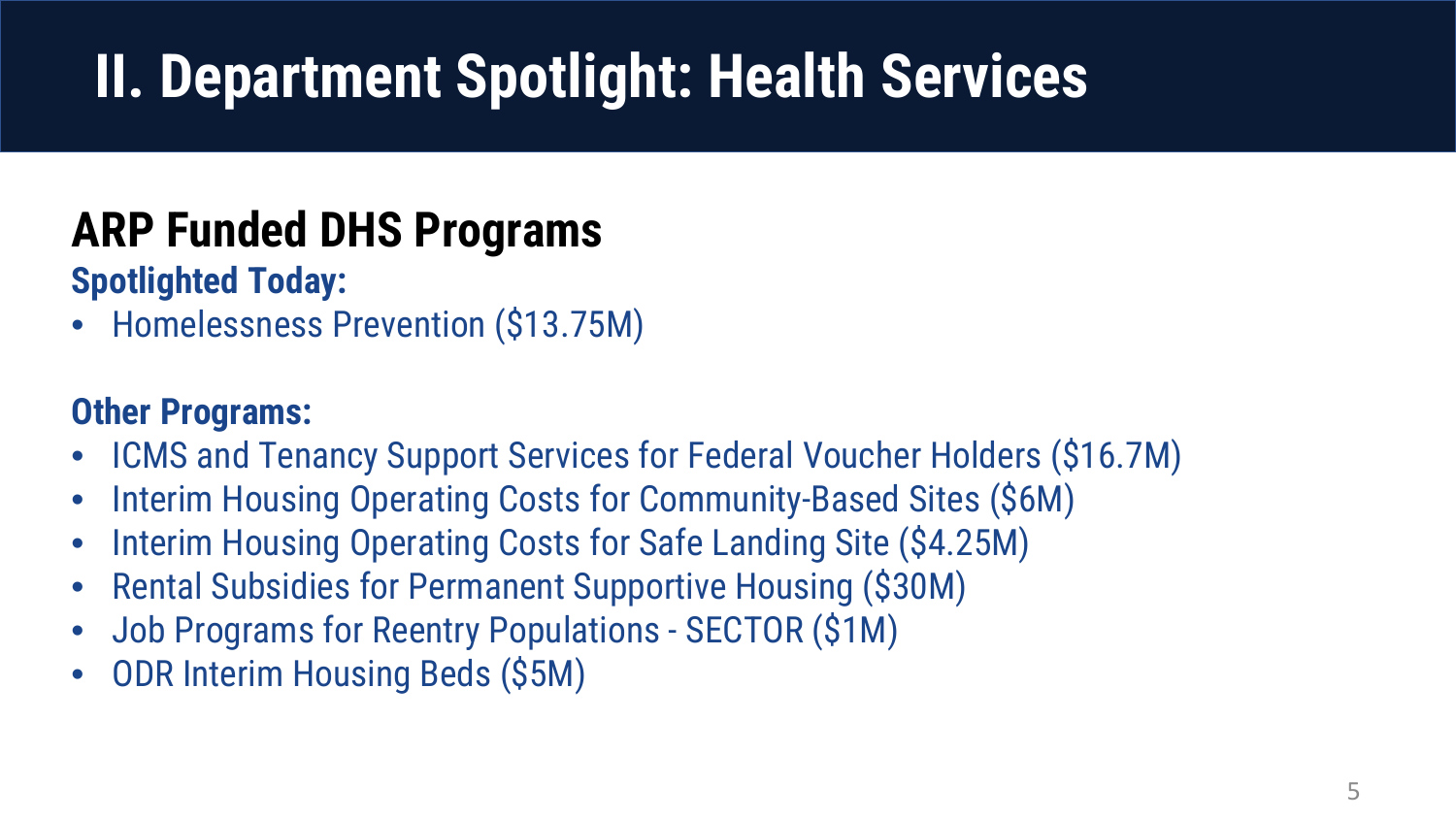### **ARP Funded DHS Programs**

**Spotlighted Today:**

• Homelessness Prevention (\$13.75M)

#### **Other Programs:**

- ICMS and Tenancy Support Services for Federal Voucher Holders (\$16.7M)
- Interim Housing Operating Costs for Community-Based Sites (\$6M)
- Interim Housing Operating Costs for Safe Landing Site (\$4.25M)
- Rental Subsidies for Permanent Supportive Housing (\$30M)
- Job Programs for Reentry Populations SECTOR (\$1M)
- ODR Interim Housing Beds (\$5M)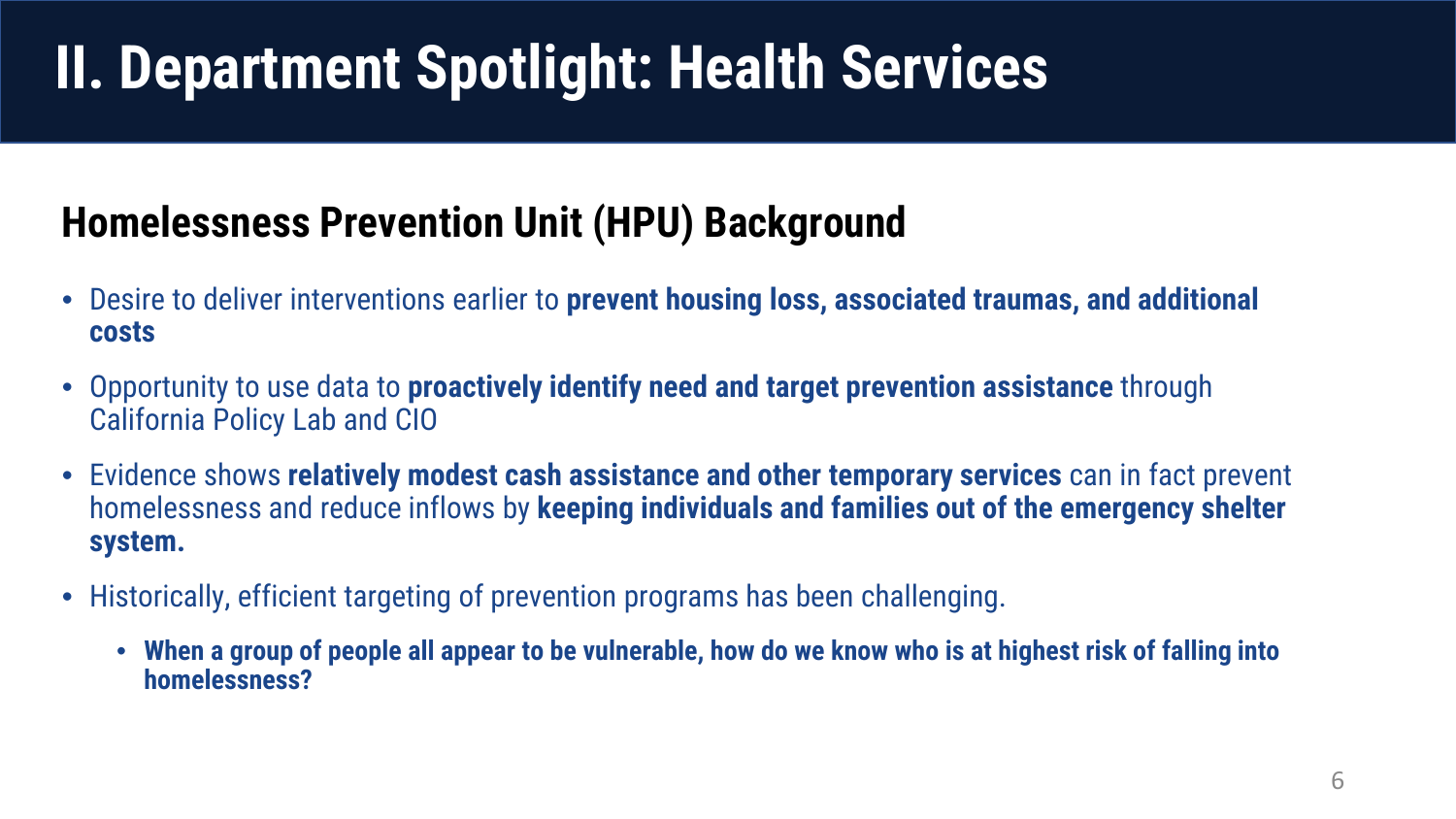#### **Homelessness Prevention Unit (HPU) Background**

- Desire to deliver interventions earlier to **prevent housing loss, associated traumas, and additional costs**
- Opportunity to use data to **proactively identify need and target prevention assistance** through California Policy Lab and CIO
- Evidence shows **relatively modest cash assistance and other temporary services** can in fact prevent homelessness and reduce inflows by **keeping individuals and families out of the emergency shelter system.**
- Historically, efficient targeting of prevention programs has been challenging.
	- **When a group of people all appear to be vulnerable, how do we know who is at highest risk of falling into homelessness?**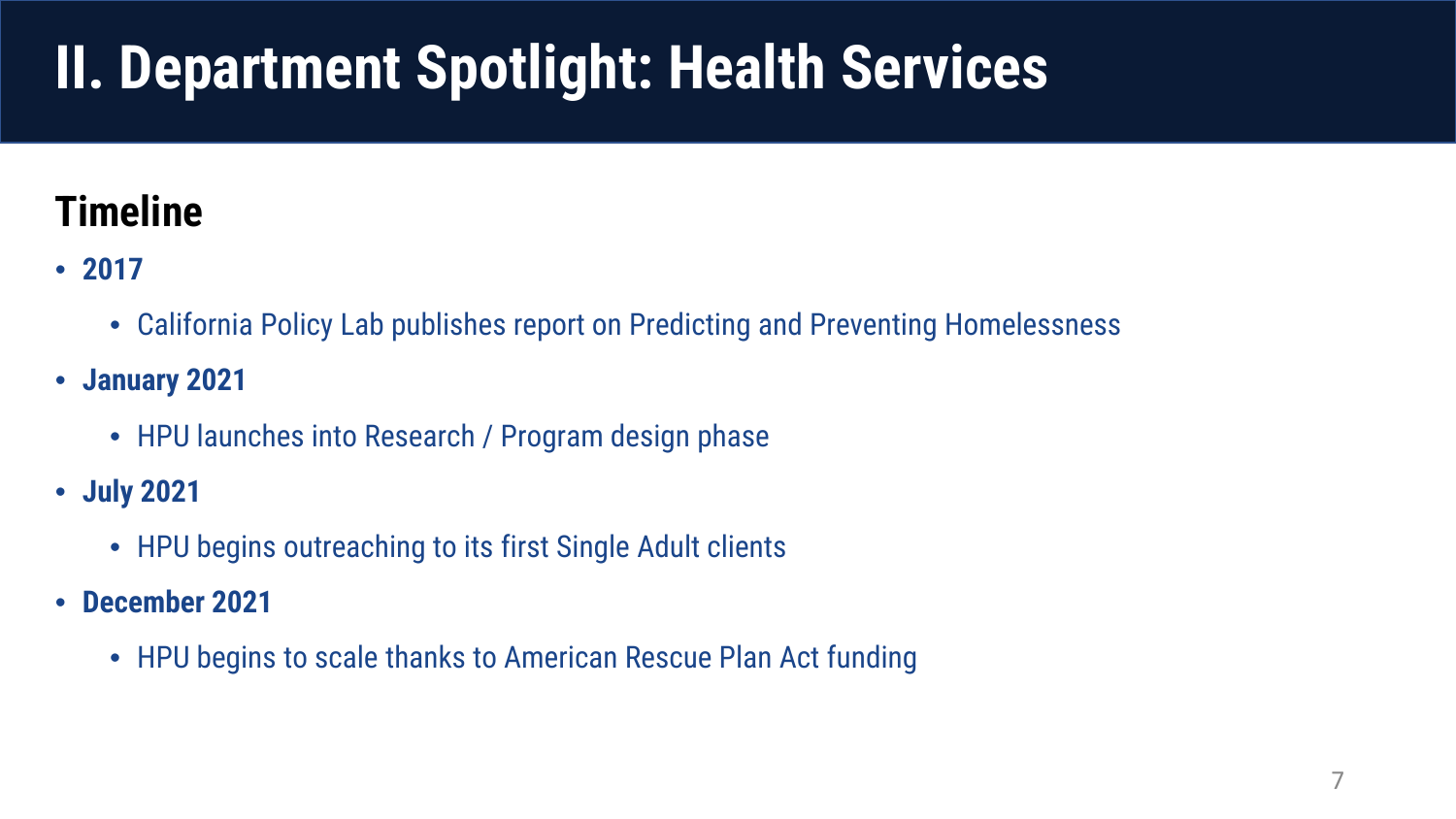#### **Timeline**

- **2017**
	- California Policy Lab publishes report on Predicting and Preventing Homelessness
- **January 2021**
	- HPU launches into Research / Program design phase
- **July 2021**
	- HPU begins outreaching to its first Single Adult clients
- **December 2021**
	- HPU begins to scale thanks to American Rescue Plan Act funding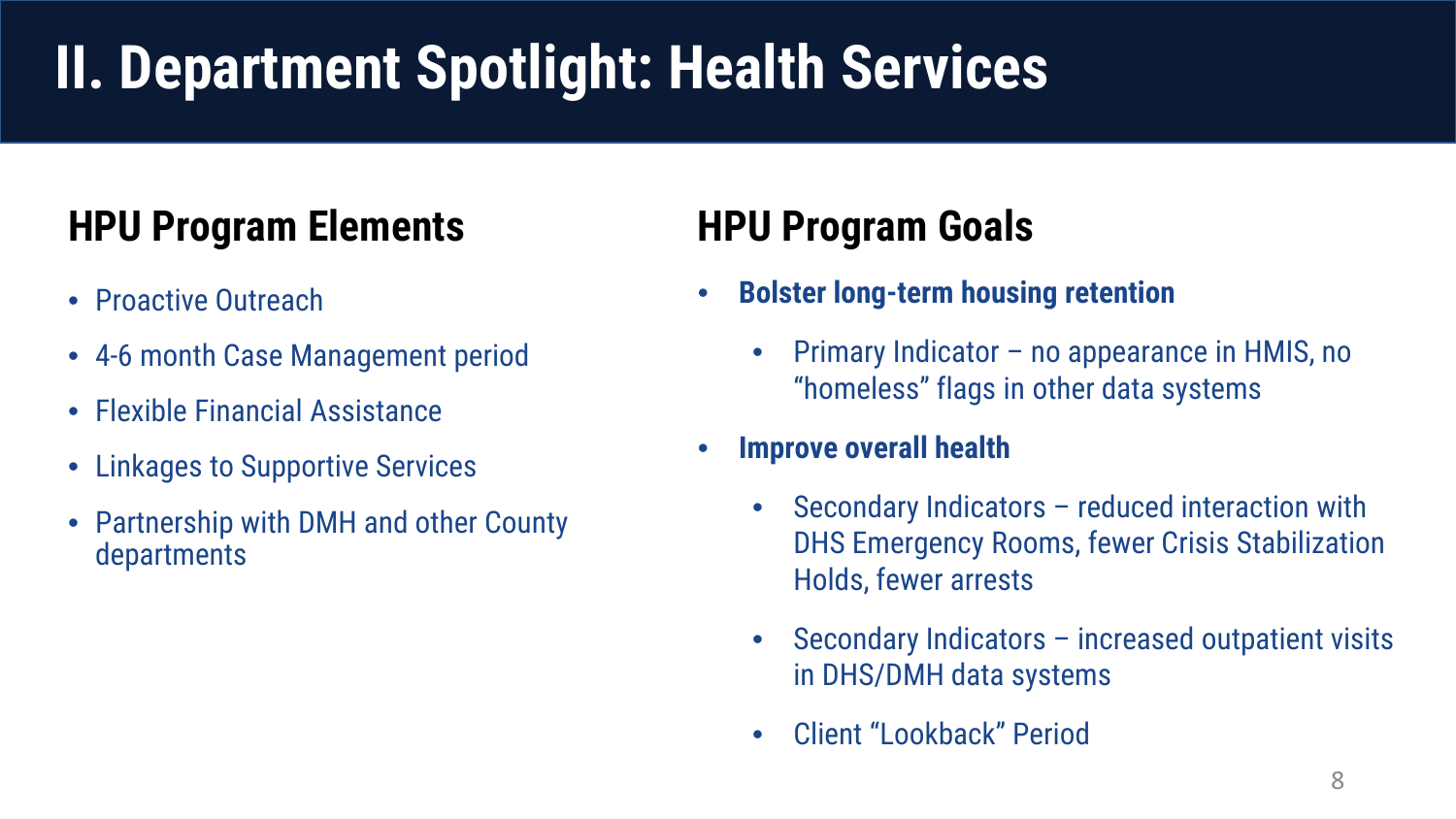#### **HPU Program Elements HPU Program Goals**

- Proactive Outreach
- 4-6 month Case Management period
- Flexible Financial Assistance
- Linkages to Supportive Services
- Partnership with DMH and other County departments

- **Bolster long-term housing retention**
	- Primary Indicator no appearance in HMIS, no "homeless" flags in other data systems
- **Improve overall health**
	- Secondary Indicators reduced interaction with DHS Emergency Rooms, fewer Crisis Stabilization Holds, fewer arrests
	- Secondary Indicators increased outpatient visits in DHS/DMH data systems
	- Client "Lookback" Period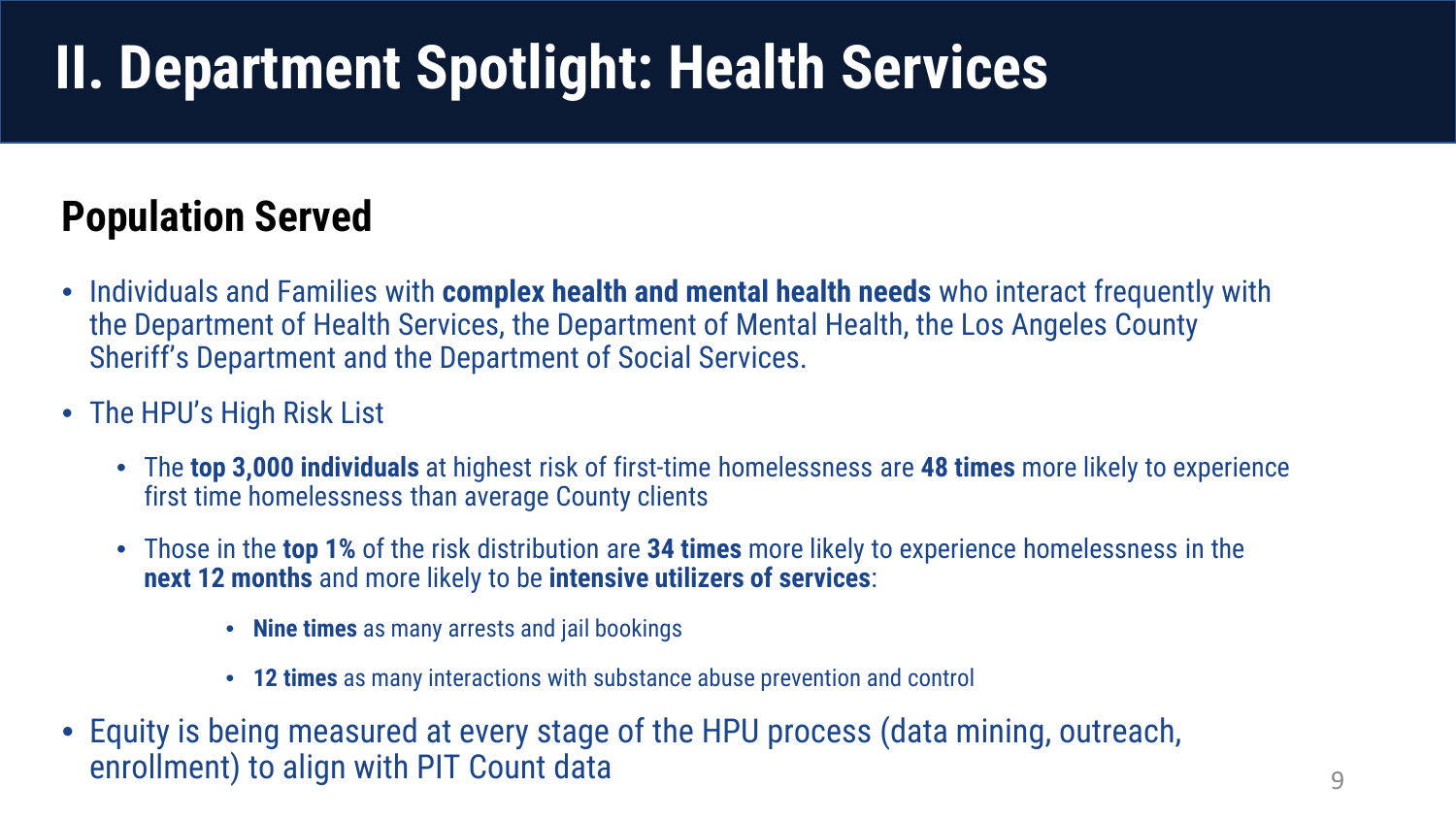#### **Population Served**

- Individuals and Families with **complex health and mental health needs** who interact frequently with the Department of Health Services, the Department of Mental Health, the Los Angeles County Sheriff's Department and the Department of Social Services.
- The HPU's High Risk List
	- The **top 3,000 individuals** at highest risk of first-time homelessness are **48 times** more likely to experience first time homelessness than average County clients
	- Those in the **top 1%** of the risk distribution are **34 times** more likely to experience homelessness in the **next 12 months** and more likely to be **intensive utilizers of services**:
		- **Nine times** as many arrests and jail bookings
		- **12 times** as many interactions with substance abuse prevention and control
- Equity is being measured at every stage of the HPU process (data mining, outreach, enrollment) to align with PIT Count data states of the state of the states of the states of the states of the states of the states of the states of the states of the states of the states of the states of the states of the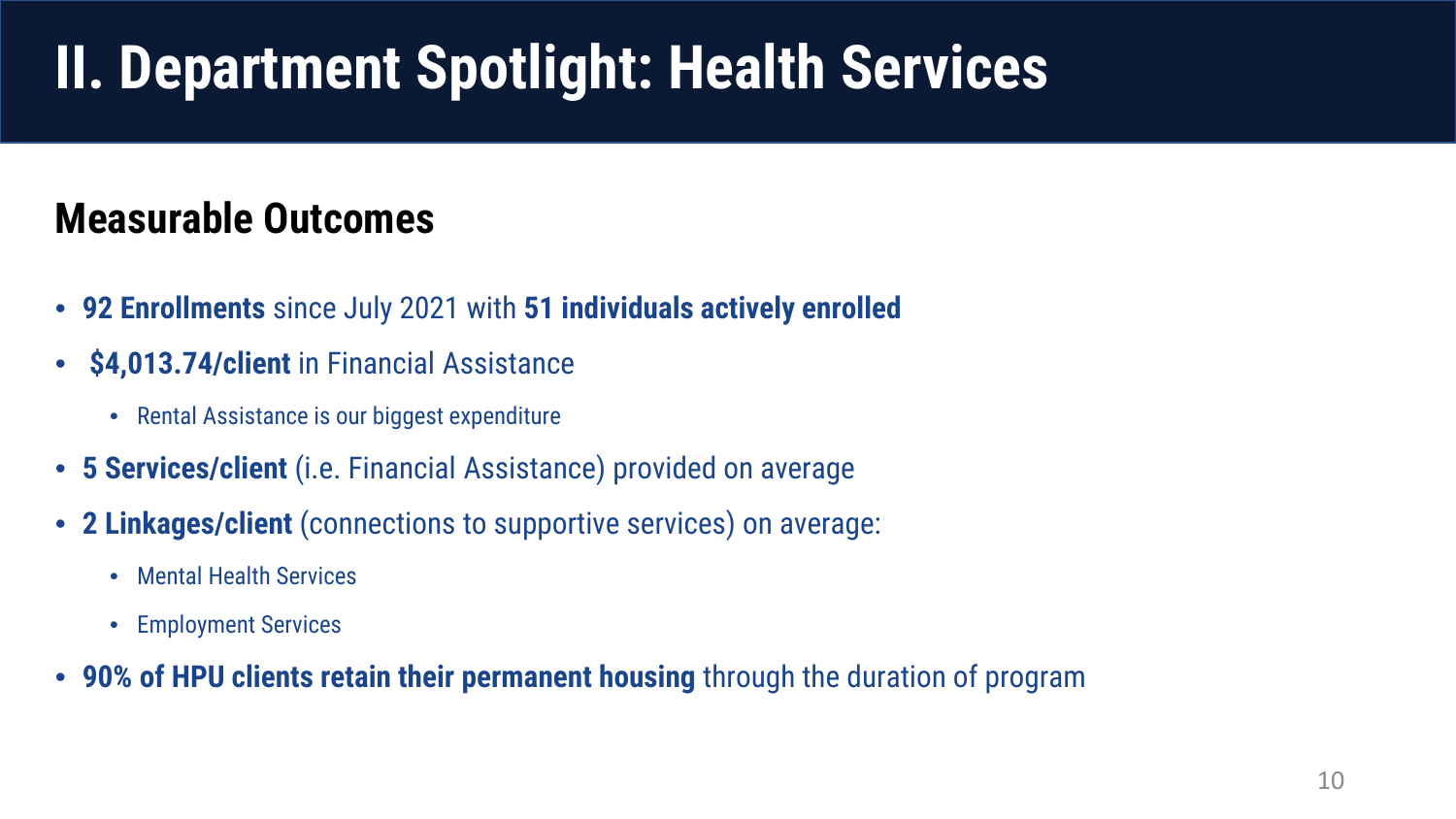#### **Measurable Outcomes**

- **92 Enrollments** since July 2021 with **51 individuals actively enrolled**
- **\$4,013.74/client** in Financial Assistance
	- Rental Assistance is our biggest expenditure
- **5 Services/client** (i.e. Financial Assistance) provided on average
- **2 Linkages/client** (connections to supportive services) on average:
	- Mental Health Services
	- Employment Services
- **90% of HPU clients retain their permanent housing** through the duration of program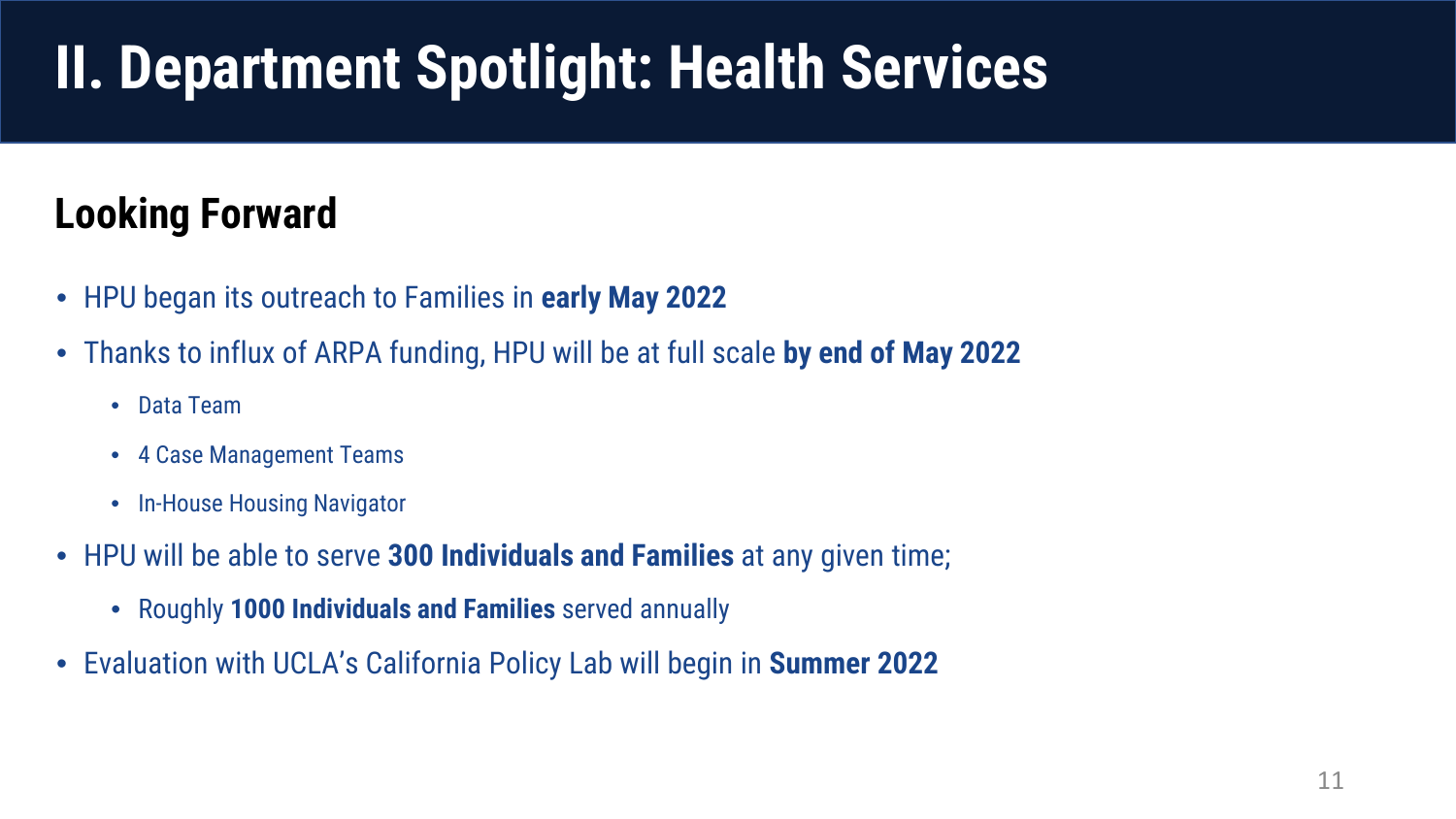#### **Looking Forward**

- HPU began its outreach to Families in **early May 2022**
- Thanks to influx of ARPA funding, HPU will be at full scale **by end of May 2022** 
	- Data Team
	- 4 Case Management Teams
	- In-House Housing Navigator
- HPU will be able to serve **300 Individuals and Families** at any given time;
	- Roughly **1000 Individuals and Families** served annually
- Evaluation with UCLA's California Policy Lab will begin in **Summer 2022**